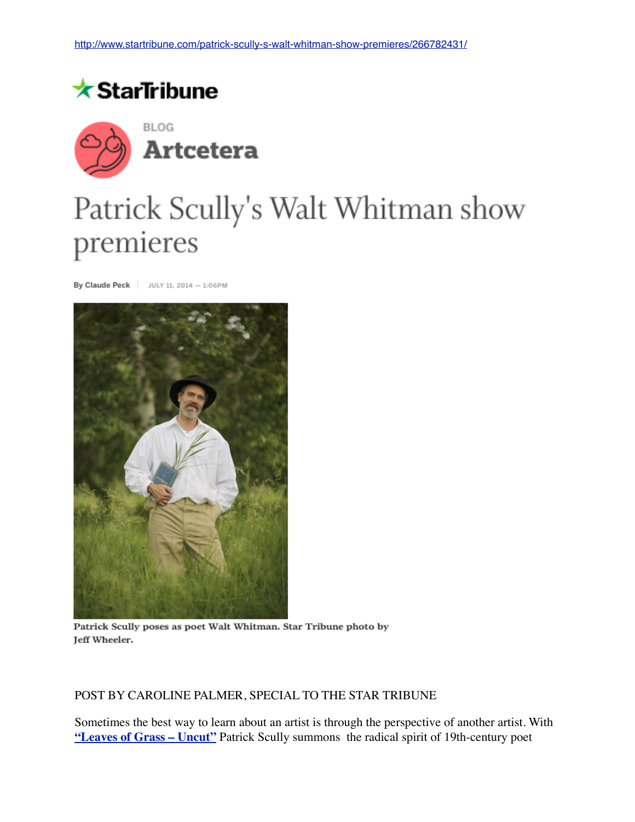



## Patrick Scully's Walt Whitman show premieres

By Claude Peck | JULY 11, 2014 - 1:06PM



Patrick Scully poses as poet Walt Whitman. Star Tribune photo by Jeff Wheeler.

## POST BY CAROLINE PALMER, SPECIAL TO THE STAR TRIBUNE

Sometimes the best way to learn about an artist is through the perspective of another artist. With **["Leaves of Grass – Uncut"](http://www.startribune.com/entertainment/stageandarts/265617441.html)** Patrick Scully summons the radical spirit of 19th-century poet